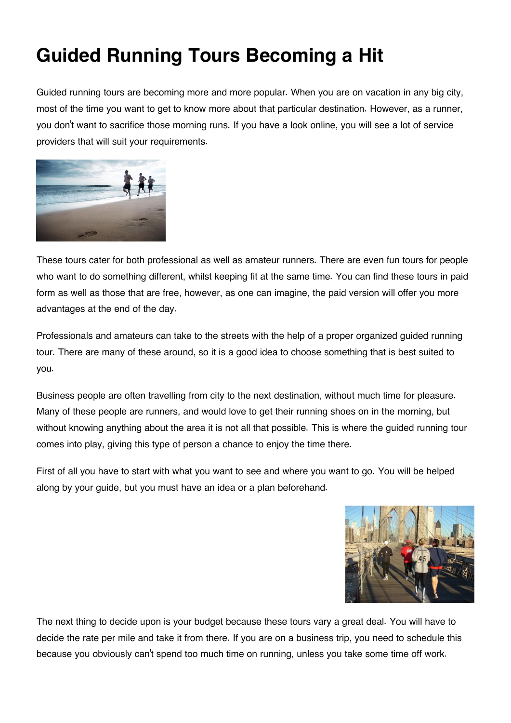## **Guided Running Tours Becoming a Hit**

Guided running tours are becoming more and more popular. When you are on vacation in any big city, most of the time you want to get to know more about that particular destination. However, as a runner, you don't want to sacrifice those morning runs. If you have a look online, you will see a lot of service providers that will suit your requirements.



These tours cater for both professional as well as amateur runners. There are even fun tours for people who want to do something different, whilst keeping fit at the same time. You can find these tours in paid form as well as those that are free, however, as one can imagine, the paid version will offer you more advantages at the end of the day.

Professionals and amateurs can take to the streets with the help of a proper organized guided running tour. There are many of these around, so it is a good idea to choose something that is best suited to you.

Business people are often travelling from city to the next destination, without much time for pleasure. Many of these people are runners, and would love to get their running shoes on in the morning, but without knowing anything about the area it is not all that possible. This is where the guided running tour comes into play, giving this type of person a chance to enjoy the time there.

First of all you have to start with what you want to see and where you want to go. You will be helped along by your guide, but you must have an idea or a plan beforehand.



The next thing to decide upon is your budget because these tours vary a great deal. You will have to decide the rate per mile and take it from there. If you are on a business trip, you need to schedule this because you obviously can't spend too much time on running, unless you take some time off work.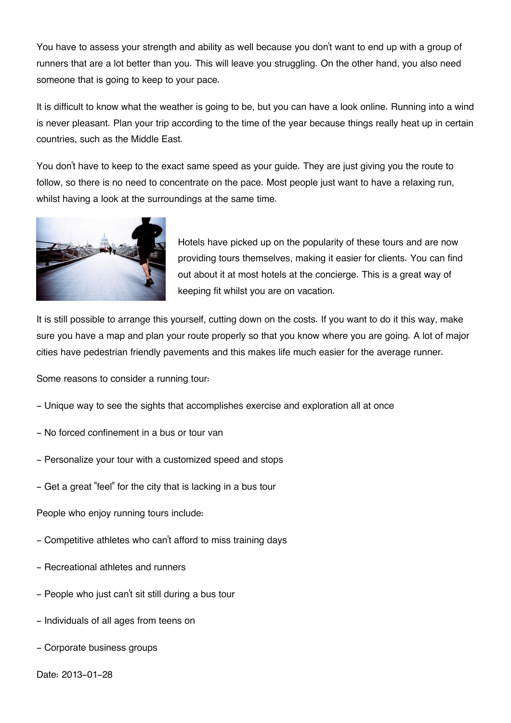You have to assess your strength and ability as well because you don't want to end up with a group of runners that are a lot better than you. This will leave you struggling. On the other hand, you also need someone that is going to keep to your pace.

It is difficult to know what the weather is going to be, but you can have a look online. Running into a wind is never pleasant. Plan your trip according to the time of the year because things really heat up in certain countries, such as the Middle East.

You don't have to keep to the exact same speed as your guide. They are just giving you the route to follow, so there is no need to concentrate on the pace. Most people just want to have a relaxing run, whilst having a look at the surroundings at the same time.



Hotels have picked up on the popularity of these tours and are now providing tours themselves, making it easier for clients. You can find out about it at most hotels at the concierge. This is a great way of keeping fit whilst you are on vacation.

It is still possible to arrange this yourself, cutting down on the costs. If you want to do it this way, make sure you have a map and plan your route properly so that you know where you are going. A lot of major cities have pedestrian friendly pavements and this makes life much easier for the average runner.

Some reasons to consider a running tour:

- Unique way to see the sights that accomplishes exercise and exploration all at once
- No forced confinement in a bus or tour van
- Personalize your tour with a customized speed and stops
- Get a great "feel" for the city that is lacking in a bus tour

People who enjoy running tours include:

- Competitive athletes who can't afford to miss training days
- Recreational athletes and runners
- People who just can't sit still during a bus tour
- Individuals of all ages from teens on
- Corporate business groups
- Date: 2013-01-28